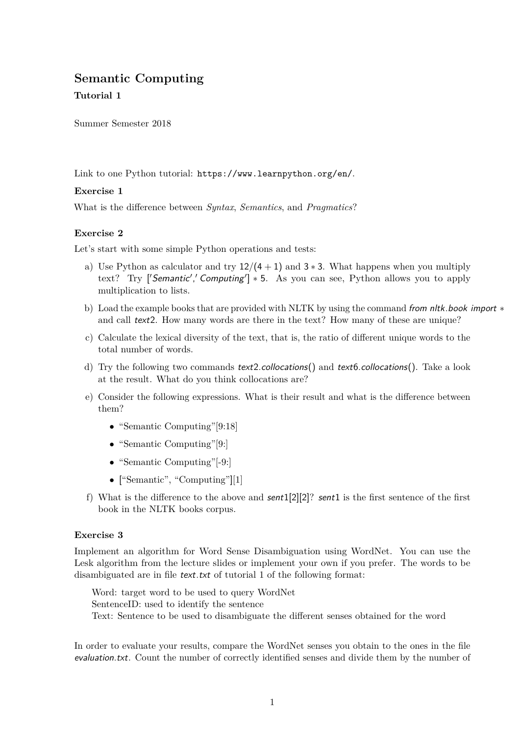# **Semantic Computing**

# **Tutorial 1**

Summer Semester 2018

Link to one Python tutorial: https://www.learnpython.org/en/.

### **Exercise 1**

What is the difference between *Syntax*, *Semantics*, and *Pragmatics*?

### **Exercise 2**

Let's start with some simple Python operations and tests:

- a) Use Python as calculator and try  $12/(4+1)$  and  $3*3$ . What happens when you multiply text? Try ['Semantic',' Computing']  $*$  5. As you can see, Python allows you to apply multiplication to lists.
- b) Load the example books that are provided with NLTK by using the command from nltk.book import ∗ and call text2. How many words are there in the text? How many of these are unique?
- c) Calculate the lexical diversity of the text, that is, the ratio of different unique words to the total number of words.
- d) Try the following two commands text2.collocations() and text6.collocations(). Take a look at the result. What do you think collocations are?
- e) Consider the following expressions. What is their result and what is the difference between them?
	- "Semantic Computing"[9:18]
	- "Semantic Computing"[9:]
	- "Semantic Computing"[-9:]
	- ["Semantic", "Computing"][1]
- f) What is the difference to the above and  $sent1[2][2]$ ? sent1 is the first sentence of the first book in the NLTK books corpus.

#### **Exercise 3**

Implement an algorithm for Word Sense Disambiguation using WordNet. You can use the Lesk algorithm from the lecture slides or implement your own if you prefer. The words to be disambiguated are in file text.txt of tutorial 1 of the following format:

Word: target word to be used to query WordNet SentenceID: used to identify the sentence Text: Sentence to be used to disambiguate the different senses obtained for the word

In order to evaluate your results, compare the WordNet senses you obtain to the ones in the file evaluation.txt. Count the number of correctly identified senses and divide them by the number of